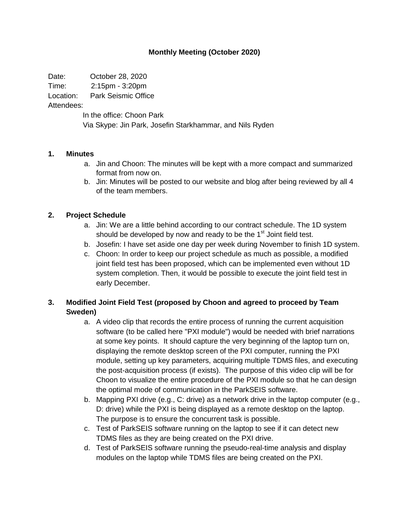### **Monthly Meeting (October 2020)**

Date: October 28, 2020

Time: 2:15pm - 3:20pm

Location: Park Seismic Office

Attendees:

In the office: Choon Park Via Skype: Jin Park, Josefin Starkhammar, and Nils Ryden

### **1. Minutes**

- a. Jin and Choon: The minutes will be kept with a more compact and summarized format from now on.
- b. Jin: Minutes will be posted to our website and blog after being reviewed by all 4 of the team members.

### **2. Project Schedule**

- a. Jin: We are a little behind according to our contract schedule. The 1D system should be developed by now and ready to be the 1<sup>st</sup> Joint field test.
- b. Josefin: I have set aside one day per week during November to finish 1D system.
- c. Choon: In order to keep our project schedule as much as possible, a modified joint field test has been proposed, which can be implemented even without 1D system completion. Then, it would be possible to execute the joint field test in early December.

# **3. Modified Joint Field Test (proposed by Choon and agreed to proceed by Team Sweden)**

- a. A video clip that records the entire process of running the current acquisition software (to be called here "PXI module") would be needed with brief narrations at some key points. It should capture the very beginning of the laptop turn on, displaying the remote desktop screen of the PXI computer, running the PXI module, setting up key parameters, acquiring multiple TDMS files, and executing the post-acquisition process (if exists). The purpose of this video clip will be for Choon to visualize the entire procedure of the PXI module so that he can design the optimal mode of communication in the ParkSEIS software.
- b. Mapping PXI drive (e.g., C: drive) as a network drive in the laptop computer (e.g., D: drive) while the PXI is being displayed as a remote desktop on the laptop. The purpose is to ensure the concurrent task is possible.
- c. Test of ParkSEIS software running on the laptop to see if it can detect new TDMS files as they are being created on the PXI drive.
- d. Test of ParkSEIS software running the pseudo-real-time analysis and display modules on the laptop while TDMS files are being created on the PXI.